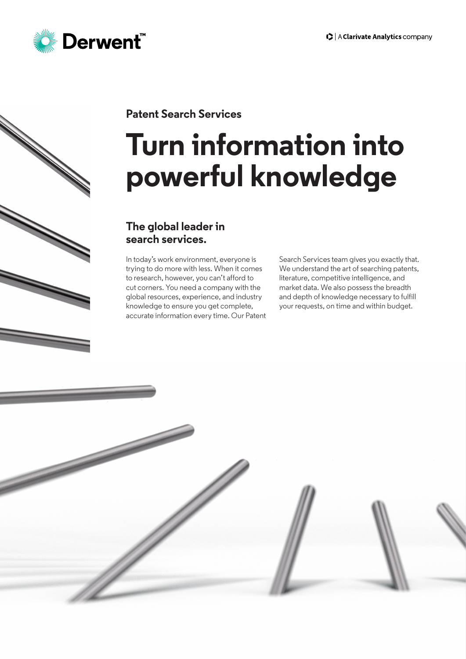

## **Patent Search Services**

# **Turn information into powerful knowledge**

### **The global leader in search services.**

In today's work environment, everyone is trying to do more with less. When it comes to research, however, you can't afford to cut corners. You need a company with the global resources, experience, and industry knowledge to ensure you get complete, accurate information every time. Our Patent

Search Services team gives you exactly that. We understand the art of searching patents, literature, competitive intelligence, and market data. We also possess the breadth and depth of knowledge necessary to fulfill your requests, on time and within budget.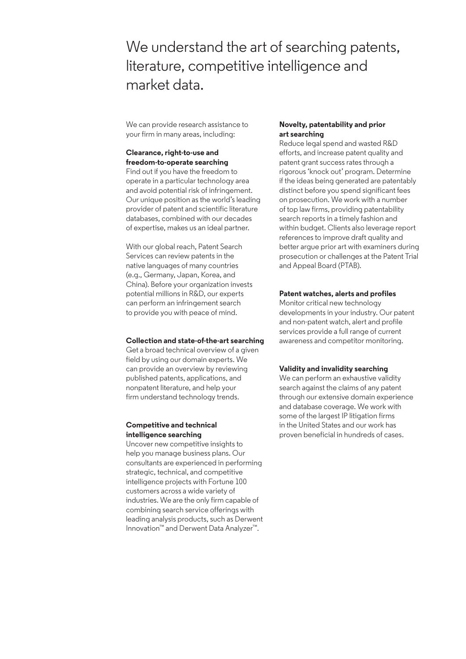We understand the art of searching patents, literature, competitive intelligence and market data.

We can provide research assistance to your firm in many areas, including:

### **Clearance, right-to-use and freedom-to-operate searching**

Find out if you have the freedom to operate in a particular technology area and avoid potential risk of infringement. Our unique position as the world's leading provider of patent and scientific literature databases, combined with our decades of expertise, makes us an ideal partner.

With our global reach, Patent Search Services can review patents in the native languages of many countries (e.g., Germany, Japan, Korea, and China). Before your organization invests potential millions in R&D, our experts can perform an infringement search to provide you with peace of mind.

### **Collection and state-of-the-art searching**

Get a broad technical overview of a given field by using our domain experts. We can provide an overview by reviewing published patents, applications, and nonpatent literature, and help your firm understand technology trends.

### **Competitive and technical intelligence searching**

Uncover new competitive insights to help you manage business plans. Our consultants are experienced in performing strategic, technical, and competitive intelligence projects with Fortune 100 customers across a wide variety of industries. We are the only firm capable of combining search service offerings with leading analysis products, such as Derwent Innovation™ and Derwent Data Analyzer™.

### **Novelty, patentability and prior art searching**

Reduce legal spend and wasted R&D efforts, and increase patent quality and patent grant success rates through a rigorous 'knock out' program. Determine if the ideas being generated are patentably distinct before you spend significant fees on prosecution. We work with a number of top law firms, providing patentability search reports in a timely fashion and within budget. Clients also leverage report references to improve draft quality and better argue prior art with examiners during prosecution or challenges at the Patent Trial and Appeal Board (PTAB).

### **Patent watches, alerts and profiles**

Monitor critical new technology developments in your industry. Our patent and non-patent watch, alert and profile services provide a full range of current awareness and competitor monitoring.

### **Validity and invalidity searching**

We can perform an exhaustive validity search against the claims of any patent through our extensive domain experience and database coverage. We work with some of the largest IP litigation firms in the United States and our work has proven beneficial in hundreds of cases.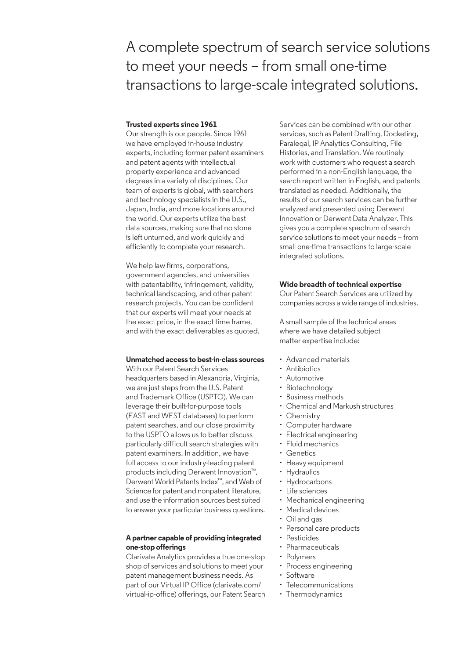# A complete spectrum of search service solutions to meet your needs – from small one-time transactions to large-scale integrated solutions.

### **Trusted experts since 1961**

Our strength is our people. Since 1961 we have employed in-house industry experts, including former patent examiners and patent agents with intellectual property experience and advanced degrees in a variety of disciplines. Our team of experts is global, with searchers and technology specialists in the U.S., Japan, India, and more locations around the world. Our experts utilize the best data sources, making sure that no stone is left unturned, and work quickly and efficiently to complete your research.

We help law firms, corporations, government agencies, and universities with patentability, infringement, validity, technical landscaping, and other patent research projects. You can be confident that our experts will meet your needs at the exact price, in the exact time frame, and with the exact deliverables as quoted.

### **Unmatched access to best-in-class sources**

With our Patent Search Services headquarters based in Alexandria, Virginia, we are just steps from the U.S. Patent and Trademark Office (USPTO). We can leverage their built-for-purpose tools (EAST and WEST databases) to perform patent searches, and our close proximity to the USPTO allows us to better discuss particularly difficult search strategies with patent examiners. In addition, we have full access to our industry-leading patent products including Derwent Innovation™, Derwent World Patents Index™, and Web of Science for patent and nonpatent literature, and use the information sources best suited to answer your particular business questions.

### **A partner capable of providing integrated one-stop offerings**

Clarivate Analytics provides a true one-stop shop of services and solutions to meet your patent management business needs. As part of our Virtual IP Office (clarivate.com/ virtual-ip-office) offerings, our Patent Search Services can be combined with our other services, such as Patent Drafting, Docketing, Paralegal, IP Analytics Consulting, File Histories, and Translation. We routinely work with customers who request a search performed in a non-English language, the search report written in English, and patents translated as needed. Additionally, the results of our search services can be further analyzed and presented using Derwent Innovation or Derwent Data Analyzer. This gives you a complete spectrum of search service solutions to meet your needs – from small one-time transactions to large-scale integrated solutions.

### **Wide breadth of technical expertise**

Our Patent Search Services are utilized by companies across a wide range of industries.

A small sample of the technical areas where we have detailed subject matter expertise include:

- Advanced materials
- Antibiotics
- Automotive
- Biotechnology
- Business methods
- Chemical and Markush structures
- Chemistry
- Computer hardware
- Electrical engineering
- Fluid mechanics
- Genetics
- Heavy equipment
- Hydraulics
- Hydrocarbons
- Life sciences
- Mechanical engineering
- Medical devices
- Oil and gas
- Personal care products
- Pesticides
- Pharmaceuticals
- Polymers
- 
- Process engineering
- Software
- Telecommunications
- Thermodynamics